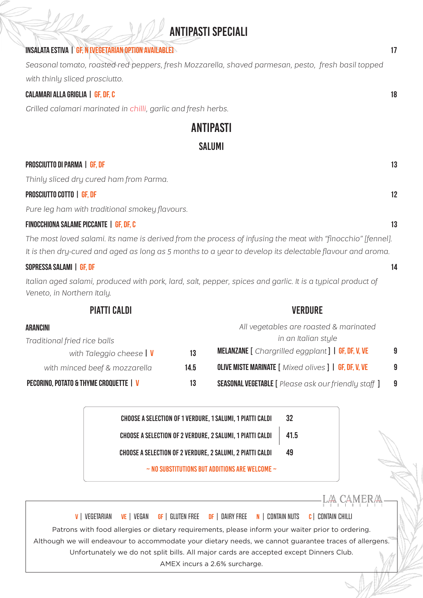# **Antipasti Speciali**

# Insalata ESTIVA | GF, N [Vegetarian option available] 17

*Seasonal tomato, roasted red peppers, fresh Mozzarella, shaved parmesan, pesto, fresh basil topped with thinly sliced prosciutto.* 

## calamari alla griglia | GF, DF, c 18

*Grilled calamari marinated in chilli, garlic and fresh herbs.*

# Antipasti

# **SALUMI**

## Prosciutto di parma | GF, DF 13

*Thinly sliced dry cured ham from Parma.*

# PROSCIUTTO COTTO | GF, DF 12

*Pure leg ham with traditional smokey flavours.*

# finocchiona salame picCante | GF, DF, c 13

*The most loved salami. Its name is derived from the process of infusing the meat with "finocchio" [fennel]. It is then dry-cured and aged as long as 5 months to a year to develop its delectable flavour and aroma.*

# SOPRESSA SALAMI | GF. DF 14

*Italian aged salami, produced with pork, lard, salt, pepper, spices and garlic. It is a typical product of Veneto, in Northern Italy.*

| <b>PIATTI CALDI</b>                           |      | <b>VERDURE</b>                                               |   |
|-----------------------------------------------|------|--------------------------------------------------------------|---|
| <b>ARANCINI</b>                               |      | All vegetables are roasted & marinated                       |   |
| Traditional fried rice balls                  |      | in an Italian style                                          |   |
| with Taleggio cheese $\vert \mathbf{V} \vert$ | 13   | <b>MELANZANE</b> [ Chargrilled eggplant ]   GF, DF, V, VE    | 9 |
| with minced beef & mozzarella                 | 14.5 | <b>OLIVE MISTE MARINATE [ Mixed olives ]   GF, DF, V, VE</b> | 9 |
| PECORINO, POTATO & THYME CROQUETTE   V        | 13   | <b>SEASONAL VEGETABLE</b> [ Please ask our friendly staff ]  | 9 |
|                                               |      |                                                              |   |

Choose a selection of 1 Verdure, 1 Salumi, 1 Piatti Caldi Choose a selection of 2 Verdure, 2 Salumi, 1 Piatti Caldi Choose a selection of 2 Verdure, 2 Salumi, 2 Piatti Caldi 32 41.5 49  $\sim$  NO SUBSTITUTIONS BUT ADDITIONS ARE WELCOME  $\sim$ 

LA CAMERA V | VEGETARIAN VE | VEGAN GF | GLUTEN FREE DF | DAIRY FREE N | CONTAIN NUTS C | CONTAIN CHILLI Patrons with food allergies or dietary requirements, please inform your waiter prior to ordering. Although we will endeavour to accommodate your dietary needs, we cannot guarantee traces of allergens. Unfortunately we do not split bills. All major cards are accepted except Dinners Club. AMEX incurs a 2.6% surcharge.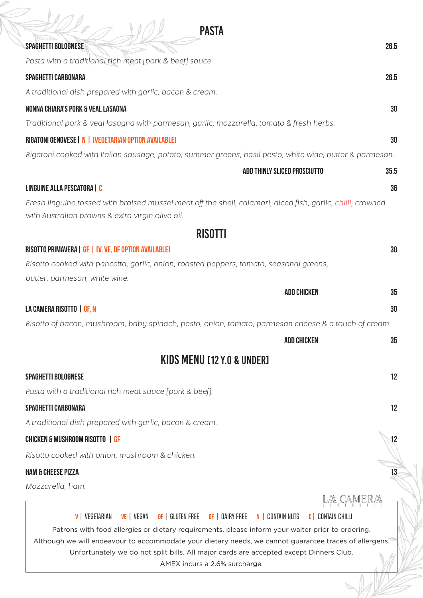| <b>PASTA</b>                                                                                                                                                                                                |            |
|-------------------------------------------------------------------------------------------------------------------------------------------------------------------------------------------------------------|------------|
| SPAGHETTI BOLOGNESE                                                                                                                                                                                         | 26.5       |
| Pasta with a traditional rich meat [pork & beef] sauce.                                                                                                                                                     |            |
| SPAGHETTI CARBONARA                                                                                                                                                                                         | 26.5       |
| A traditional dish prepared with garlic, bacon & cream.                                                                                                                                                     |            |
| NONNA CHIARA'S PORK & VEAL LASAGNA                                                                                                                                                                          | 30         |
| Traditional pork & veal lasagna with parmesan, garlic, mozzarella, tomato & fresh herbs.                                                                                                                    |            |
| RIGATONI GENOVESE   N   [VEGETARIAN OPTION AVAILABLE]                                                                                                                                                       | 30         |
| Rigatoni cooked with Italian sausage, potato, summer greens, basil pesto, white wine, butter & parmesan.                                                                                                    |            |
| <b>ADD THINLY SLICED PROSCIUTTO</b>                                                                                                                                                                         | 35.5       |
| LINGUINE ALLA PESCATORA   C                                                                                                                                                                                 | 36         |
| Fresh linguine tossed with braised mussel meat off the shell, calamari, diced fish, garlic, chilli, crowned<br>with Australian prawns & extra virgin olive oil.                                             |            |
| <b>RISOTTI</b>                                                                                                                                                                                              |            |
| RISOTTO PRIMAVERA   GF   IV, VE, DF OPTION AVAILABLEI                                                                                                                                                       | 30         |
| Risotto cooked with pancetta, garlic, onion, roasted peppers, tomato, seasonal greens,                                                                                                                      |            |
| butter, parmesan, white wine.                                                                                                                                                                               |            |
| <b>ADD CHICKEN</b>                                                                                                                                                                                          | 35         |
| LA CAMERA RISOTTO   GF, N                                                                                                                                                                                   | 30         |
| Risotto of bacon, mushroom, baby spinach, pesto, onion, tomato, parmesan cheese & a touch of cream.                                                                                                         |            |
| <b>ADD CHICKEN</b>                                                                                                                                                                                          | 35         |
| KIDS MENU [12 Y.O & UNDER]                                                                                                                                                                                  |            |
| <b>SPAGHETTI BOLOGNESE</b>                                                                                                                                                                                  | 12         |
| Pasta with a traditional rich meat sauce [pork & beef].                                                                                                                                                     |            |
| SPAGHETTI CARBONARA                                                                                                                                                                                         | 12         |
| A traditional dish prepared with garlic, bacon & cream.                                                                                                                                                     |            |
| <b>CHICKEN &amp; MUSHROOM RISOTTO   GF</b>                                                                                                                                                                  | $\sqrt{2}$ |
| Risotto cooked with onion, mushroom & chicken.                                                                                                                                                              |            |
| <b>HAM &amp; CHEESE PIZZA</b>                                                                                                                                                                               | $13 -$     |
| Mozzarella, ham.                                                                                                                                                                                            |            |
|                                                                                                                                                                                                             |            |
| <b>v</b>   VEGETARIAN<br>VE   VEGAN<br><b>GF</b> GLUTEN FREE<br>$DF$   Dairy Free<br>N   CONTAIN NUTS<br><b>C</b>   CONTAIN CHILLI                                                                          |            |
| Patrons with food allergies or dietary requirements, please inform your waiter prior to ordering.<br>Although we will endeavour to accommodate your dietary needs, we cannot guarantee traces of allergens. |            |
| Unfortunately we do not split bills. All major cards are accepted except Dinners Club.                                                                                                                      |            |
| AMEX incurs a 2.6% surcharge.                                                                                                                                                                               |            |
|                                                                                                                                                                                                             |            |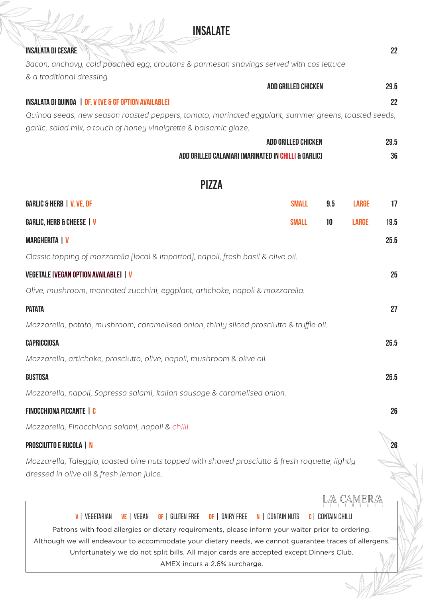# **INSALATE**

# **insalata di cesare di provincia di cesare 22 della contra di cesare di provincia di cesare 22 della contra di cesare di contra di cesare di contra di cesare di contra di contra di contra di contra di contra di contra di c**

*Bacon, anchovy, cold poached egg, croutons & parmesan shavings served with cos lettuce & a traditional dressing.*

|                                                                                                    | <b>ADD GRILLED CHICKEN</b> | 29.5 |
|----------------------------------------------------------------------------------------------------|----------------------------|------|
| INSALATA DI QUINOA   DF, V IVE & GF OPTION AVAILABLE]                                              |                            | 22   |
| Oujnog seeds, new season roasted penners, tomato, marinated eganlant, summer greens, togsted seeds |                            |      |

*Quinoa seeds, new season roasted peppers, tomato, marinated eggplant, summer greens, toasted seeds, garlic, salad mix, a touch of honey vinaigrette & balsamic glaze.*

| gamic, suida mix, a touch of noneg vinalgrette & baisanne giuze.                         |                                                     |     |              |      |
|------------------------------------------------------------------------------------------|-----------------------------------------------------|-----|--------------|------|
|                                                                                          | <b>ADD GRILLED CHICKEN</b>                          |     |              | 29.5 |
|                                                                                          | ADD GRILLED CALAMARI IMARINATED IN CHILLI & GARLICI |     |              | 36   |
|                                                                                          |                                                     |     |              |      |
| <b>PIZZA</b>                                                                             |                                                     |     |              |      |
| GARLIC & HERB   V, VE, DF                                                                | <b>SMALL</b>                                        | 9.5 | <b>LARGE</b> | 17   |
| GARLIC, HERB & CHEESE   V                                                                | <b>SMALL</b>                                        | 10  | <b>LARGE</b> | 19.5 |
| <b>MARGHERITA   V</b>                                                                    |                                                     |     |              | 25.5 |
| Classic topping of mozzarella [local & imported], napoli, fresh basil & olive oil.       |                                                     |     |              |      |
| VEGETALE [VEGAN OPTION AVAILABLE]   <mark>V</mark>                                       |                                                     |     |              | 25   |
| Olive, mushroom, marinated zucchini, eggplant, artichoke, napoli & mozzarella.           |                                                     |     |              |      |
| <b>PATATA</b>                                                                            |                                                     |     |              | 27   |
| Mozzarella, potato, mushroom, caramelised onion, thinly sliced prosciutto & truffle oil. |                                                     |     |              |      |
| CAPRICCIOSA                                                                              |                                                     |     |              | 26.5 |
| Mozzarella, artichoke, prosciutto, olive, napoli, mushroom & olive oil.                  |                                                     |     |              |      |
| GUSTOSA                                                                                  |                                                     |     |              | 26.5 |
| Mozzarella, napoli, Sopressa salami, Italian sausage & caramelised onion.                |                                                     |     |              |      |
| FINOCCHIONA PICCANTE   C                                                                 |                                                     |     |              | 26   |
| Mozzarella, Finocchiona salami, napoli & chilli.                                         |                                                     |     |              |      |
| <b>PROSCIUTTO E RUCOLA   N</b>                                                           |                                                     |     |              | 26   |

*Mozzarella, Taleggio, toasted pine nuts topped with shaved prosciutto & fresh roquette, lightly dressed in olive oil & fresh lemon juice.*